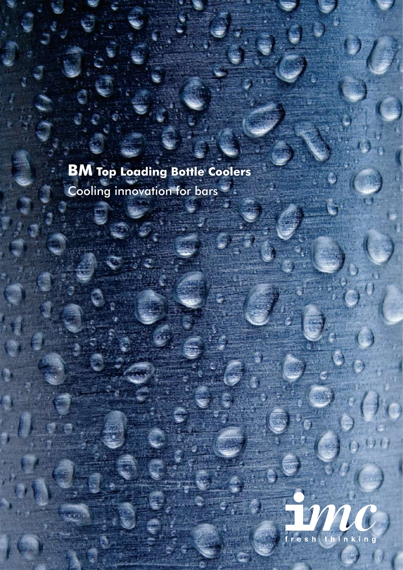## **BM Top Loading Bottle Coolers** Cooling innovation for bars

i e

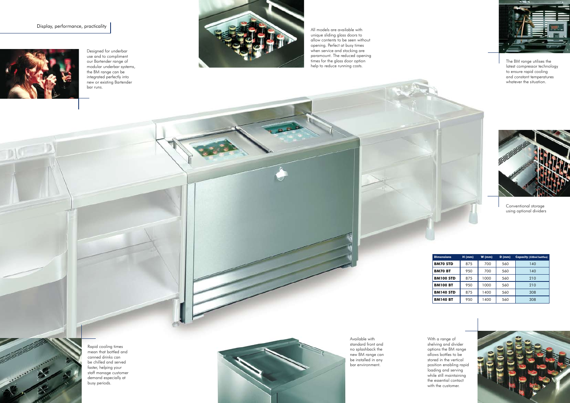## Display, performance, practicality



 $D$ 

All models are available with unique sliding glass doors to allow contents to be seen without opening. Perfect at busy times when service and stocking are paramount. The reduced opening times for the glass door option help to reduce running costs.

Rapid cooling times mean that bottled and canned drinks can be chilled and served faster, helping your staff manage customer demand especially at busy periods.



The BM range utilises the latest compressor technology to ensure rapid cooling and constant temperatures whatever the situation.



With a range of shelving and divider options the BM range allows bottles to be stored in the vertical position enabling rapid loading and serving while still maintaining the essential contact with the customer.



Designed for underbar use and to compliment our Bartender range of modular underbar systems, the BM range can be integrated perfectly into new or existing Bartender bar runs.



Available with standard front and no splashback the new BM range can be installed in any bar environment.



Conventional storage using optional dividers

| <b>Dimensions</b> | $H$ (mm) | $W$ (mm) | $D$ (mm) | <b>Capacity (330ml bottles)</b> |
|-------------------|----------|----------|----------|---------------------------------|
| <b>BM70 STD</b>   | 875      | 700      | 560      | 140                             |
| <b>BM70 BT</b>    | 950      | 700      | 560      | 140                             |
| <b>BM100 STD</b>  | 875      | 1000     | 560      | 210                             |
| <b>BM100 BT</b>   | 950      | 1000     | 560      | 210                             |
| <b>BM140 STD</b>  | 875      | 1400     | 560      | 308                             |
| <b>BM140 BT</b>   | 950      | 1400     | 560      | 308                             |